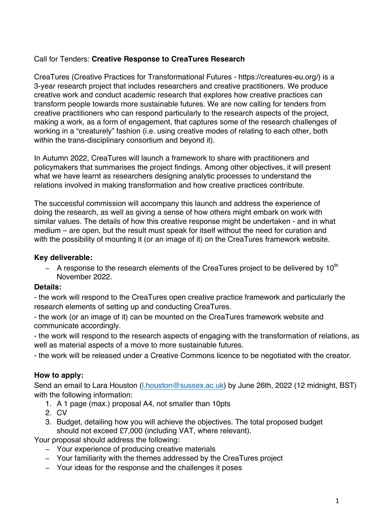## Call for Tenders: **Creative Response to CreaTures Research**

CreaTures (Creative Practices for Transformational Futures - https://creatures-eu.org/) is a 3-year research project that includes researchers and creative practitioners. We produce creative work and conduct academic research that explores how creative practices can transform people towards more sustainable futures. We are now calling for tenders from creative practitioners who can respond particularly to the research aspects of the project, making a work, as a form of engagement, that captures some of the research challenges of working in a "creaturely" fashion (i.e. using creative modes of relating to each other, both within the trans-disciplinary consortium and beyond it).

In Autumn 2022, CreaTures will launch a framework to share with practitioners and policymakers that summarises the project findings. Among other objectives, it will present what we have learnt as researchers designing analytic processes to understand the relations involved in making transformation and how creative practices contribute.

The successful commission will accompany this launch and address the experience of doing the research, as well as giving a sense of how others might embark on work with similar values. The details of how this creative response might be undertaken - and in what medium – are open, but the result must speak for itself without the need for curation and with the possibility of mounting it (or an image of it) on the CreaTures framework website.

## **Key deliverable:**

− A response to the research elements of the CreaTures project to be delivered by 10<sup>th</sup> November 2022.

### **Details:**

- the work will respond to the CreaTures open creative practice framework and particularly the research elements of setting up and conducting CreaTures.

- the work (or an image of it) can be mounted on the CreaTures framework website and communicate accordingly.

- the work will respond to the research aspects of engaging with the transformation of relations, as well as material aspects of a move to more sustainable futures.

- the work will be released under a Creative Commons licence to be negotiated with the creator.

# **How to apply:**

Send an email to Lara Houston (l.houston@sussex.ac.uk) by June 26th, 2022 (12 midnight, BST) with the following information:

- 1. A 1 page (max.) proposal A4, not smaller than 10pts
- 2. CV
- 3. Budget, detailing how you will achieve the objectives. The total proposed budget should not exceed £7,000 (including VAT, where relevant).

Your proposal should address the following:

- − Your experience of producing creative materials
- − Your familiarity with the themes addressed by the CreaTures project
- − Your ideas for the response and the challenges it poses